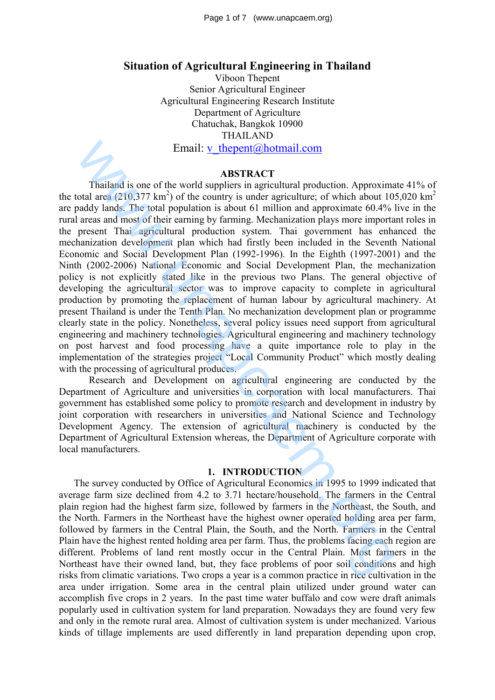#### **Situation of Agricultural Engineering in Thailand**

Viboon Thepent Senior Agricultural Engineer Agricultural Engineering Research Institute Department of Agriculture Chatuchak, Bangkok 10900 THAILAND Email: v\_thepent@hotmail.com

#### **ABSTRACT**

Thailand is one of the world suppliers in agricultural production. Approximate 41% of the total area  $(210,377 \text{ km}^2)$  of the country is under agriculture; of which about 105,020 km<sup>2</sup> are paddy lands. The total population is about 61 million and approximate 60.4% live in the rural areas and most of their earning by farming. Mechanization plays more important roles in the present Thai agricultural production system. Thai government has enhanced the mechanization development plan which had firstly been included in the Seventh National Economic and Social Development Plan (1992-1996). In the Eighth (1997-2001) and the Ninth (2002-2006) National Economic and Social Development Plan, the mechanization policy is not explicitly stated like in the previous two Plans. The general objective of developing the agricultural sector was to improve capacity to complete in agricultural production by promoting the replacement of human labour by agricultural machinery. At present Thailand is under the Tenth Plan. No mechanization development plan or programme clearly state in the policy. Nonetheless, several policy issues need support from agricultural engineering and machinery technologies. Agricultural engineering and machinery technology on post harvest and food processing have a quite importance role to play in the implementation of the strategies project "Local Community Product" which mostly dealing with the processing of agricultural produces. **Email: y\_thepent**(@hotmail.com<br> **ABSTRACT**<br>
Thailand is one of the world suppliers in agriculture; of which about 10<br>
fotal area (210,377 km<sup>3</sup>) of the country is under agriculture; of which about 10<br>
and area sand mos

 Research and Development on agricultural engineering are conducted by the Department of Agriculture and universities in corporation with local manufacturers. Thai government has established some policy to promote research and development in industry by joint corporation with researchers in universities and National Science and Technology Development Agency. The extension of agricultural machinery is conducted by the Department of Agricultural Extension whereas, the Department of Agriculture corporate with local manufacturers.

# **1. INTRODUCTION**

The survey conducted by Office of Agricultural Economics in 1995 to 1999 indicated that average farm size declined from 4.2 to 3.71 hectare/household. The farmers in the Central plain region had the highest farm size, followed by farmers in the Northeast, the South, and the North. Farmers in the Northeast have the highest owner operated holding area per farm, followed by farmers in the Central Plain, the South, and the North. Farmers in the Central Plain have the highest rented holding area per farm. Thus, the problems facing each region are different. Problems of land rent mostly occur in the Central Plain. Most farmers in the Northeast have their owned land, but, they face problems of poor soil conditions and high risks from climatic variations. Two crops a year is a common practice in rice cultivation in the area under irrigation. Some area in the central plain utilized under ground water can accomplish five crops in 2 years. In the past time water buffalo and cow were draft animals popularly used in cultivation system for land preparation. Nowadays they are found very few and only in the remote rural area. Almost of cultivation system is under mechanized. Various kinds of tillage implements are used differently in land preparation depending upon crop,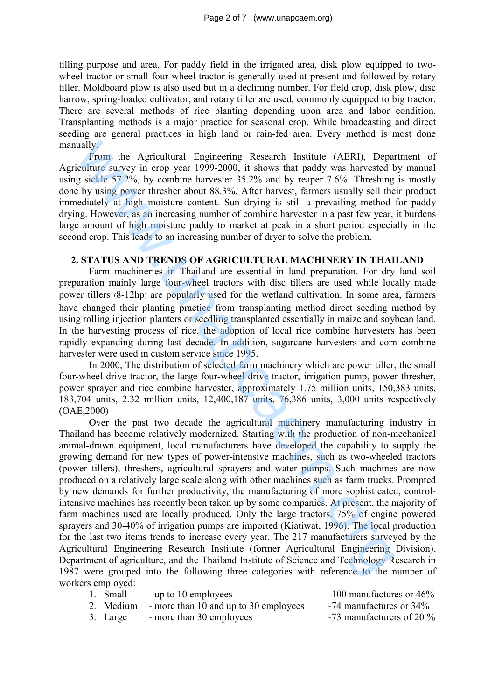tilling purpose and area. For paddy field in the irrigated area, disk plow equipped to twowheel tractor or small four-wheel tractor is generally used at present and followed by rotary tiller. Moldboard plow is also used but in a declining number. For field crop, disk plow, disc harrow, spring-loaded cultivator, and rotary tiller are used, commonly equipped to big tractor. There are several methods of rice planting depending upon area and labor condition. Transplanting methods is a major practice for seasonal crop. While broadcasting and direct seeding are general practices in high land or rain-fed area. Every method is most done manually.

From the Agricultural Engineering Research Institute (AERI), Department of Agriculture survey in crop year 1999-2000, it shows that paddy was harvested by manual using sickle 57.2%, by combine harvester 35.2% and by reaper 7.6%. Threshing is mostly done by using power thresher about 88.3%. After harvest, farmers usually sell their product immediately at high moisture content. Sun drying is still a prevailing method for paddy drying. However, as an increasing number of combine harvester in a past few year, it burdens large amount of high moisture paddy to market at peak in a short period especially in the second crop. This leads to an increasing number of dryer to solve the problem.

# **2. STATUS AND TRENDS OF AGRICULTURAL MACHINERY IN THAILAND**

 Farm machineries in Thailand are essential in land preparation. For dry land soil preparation mainly large four-wheel tractors with disc tillers are used while locally made power tillers (8-12hp) are popularly used for the wetland cultivation. In some area, farmers have changed their planting practice from transplanting method direct seeding method by using rolling injection planters or seedling transplanted essentially in maize and soybean land. In the harvesting process of rice, the adoption of local rice combine harvesters has been rapidly expanding during last decade. In addition, sugarcane harvesters and corn combine harvester were used in custom service since 1995.

 In 2000, The distribution of selected farm machinery which are power tiller, the small four-wheel drive tractor, the large four-wheel drive tractor, irrigation pump, power thresher, power sprayer and rice combine harvester, approximately 1.75 million units, 150,383 units, 183,704 units, 2.32 million units, 12,400,187 units, 76,386 units, 3,000 units respectively (OAE,2000)

 Over the past two decade the agricultural machinery manufacturing industry in Thailand has become relatively modernized. Starting with the production of non-mechanical animal-drawn equipment, local manufacturers have developed the capability to supply the growing demand for new types of power-intensive machines, such as two-wheeled tractors (power tillers), threshers, agricultural sprayers and water pumps. Such machines are now produced on a relatively large scale along with other machines such as farm trucks. Prompted by new demands for further productivity, the manufacturing of more sophisticated, controlintensive machines has recently been taken up by some companies. At present, the majority of farm machines used are locally produced. Only the large tractors, 75% of engine powered sprayers and 30-40% of irrigation pumps are imported (Kiatiwat, 1996). The local production for the last two items trends to increase every year. The 217 manufacturers surveyed by the Agricultural Engineering Research Institute (former Agricultural Engineering Division), Department of agriculture, and the Thailand Institute of Science and Technology Research in 1987 were grouped into the following three categories with reference to the number of workers employed: usly<br>From the Agricultural Engineering Research Institute (AFRI), Departing<br>From the Agricultural Engineering Research Institute (AFRI), Departing<br>states 37.2%, by combine haves the 25.2% and by reapre 7.6%. The<br>spin gas p

1. Small - up to 10 employees -100 manufactures or  $46\%$ 

- 2. Medium more than 10 and up to 30 employees -74 manufactures or 34%
- 3. Large more than 30 employees -73 manufacturers of 20 %
-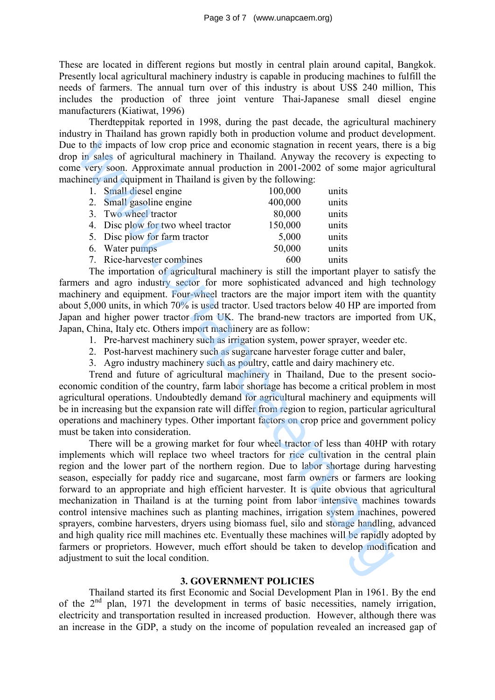These are located in different regions but mostly in central plain around capital, Bangkok. Presently local agricultural machinery industry is capable in producing machines to fulfill the needs of farmers. The annual turn over of this industry is about US\$ 240 million, This includes the production of three joint venture Thai-Japanese small diesel engine manufacturers (Kiatiwat, 1996)

 Therdteppitak reported in 1998, during the past decade, the agricultural machinery industry in Thailand has grown rapidly both in production volume and product development. Due to the impacts of low crop price and economic stagnation in recent years, there is a big drop in sales of agricultural machinery in Thailand. Anyway the recovery is expecting to come very soon. Approximate annual production in 2001-2002 of some major agricultural machinery and equipment in Thailand is given by the following:

| 1. Small diesel engine             | 100,000 | units |
|------------------------------------|---------|-------|
| 2. Small gasoline engine           | 400,000 | units |
| 3. Two wheel tractor               | 80,000  | units |
| 4. Disc plow for two wheel tractor | 150,000 | units |
| 5. Disc plow for farm tractor      | 5,000   | units |
| 6. Water pumps                     | 50,000  | units |
| 7. Rice-harvester combines         | 600     | units |
|                                    |         |       |

The importation of agricultural machinery is still the important player to satisfy the farmers and agro industry sector for more sophisticated advanced and high technology machinery and equipment. Four-wheel tractors are the major import item with the quantity about 5,000 units, in which 70% is used tractor. Used tractors below 40 HP are imported from Japan and higher power tractor from UK. The brand-new tractors are imported from UK, Japan, China, Italy etc. Others import machinery are as follow:

- 1. Pre-harvest machinery such as irrigation system, power sprayer, weeder etc.
- 2. Post-harvest machinery such as sugarcane harvester forage cutter and baler,
- 3. Agro industry machinery such as poultry, cattle and dairy machinery etc.

Trend and future of agricultural machinery in Thailand, Due to the present socioeconomic condition of the country, farm labor shortage has become a critical problem in most agricultural operations. Undoubtedly demand for agricultural machinery and equipments will be in increasing but the expansion rate will differ from region to region, particular agricultural operations and machinery types. Other important factors on crop price and government policy must be taken into consideration.

There will be a growing market for four wheel tractor of less than 40HP with rotary implements which will replace two wheel tractors for rice cultivation in the central plain region and the lower part of the northern region. Due to labor shortage during harvesting season, especially for paddy rice and sugarcane, most farm owners or farmers are looking forward to an appropriate and high efficient harvester. It is quite obvious that agricultural mechanization in Thailand is at the turning point from labor intensive machines towards control intensive machines such as planting machines, irrigation system machines, powered sprayers, combine harvesters, dryers using biomass fuel, silo and storage handling, advanced and high quality rice mill machines etc. Eventually these machines will be rapidly adopted by farmers or proprietors. However, much effort should be taken to develop modification and adjustment to suit the local condition. to the impacts of low crop price and economic stagration in recent years, the<br>10 in sales of agricultural machinery in Thailand. Anyway the recevery is ex-<br>win singly approximate annual production in 2001-2002 of some maj

# **3. GOVERNMENT POLICIES**

Thailand started its first Economic and Social Development Plan in 1961. By the end of the  $2<sup>nd</sup>$  plan, 1971 the development in terms of basic necessities, namely irrigation, electricity and transportation resulted in increased production. However, although there was an increase in the GDP, a study on the income of population revealed an increased gap of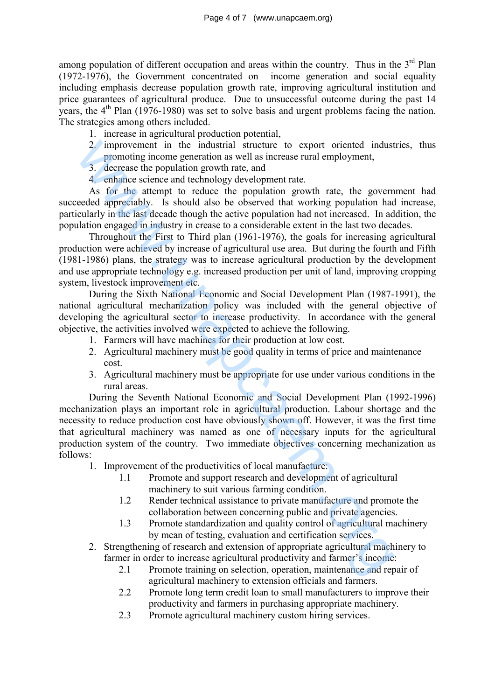among population of different occupation and areas within the country. Thus in the  $3<sup>rd</sup>$  Plan (1972-1976), the Government concentrated on income generation and social equality including emphasis decrease population growth rate, improving agricultural institution and price guarantees of agricultural produce. Due to unsuccessful outcome during the past 14 years, the  $4<sup>th</sup>$  Plan (1976-1980) was set to solve basis and urgent problems facing the nation. The strategies among others included.

- 1. increase in agricultural production potential,
- 2. improvement in the industrial structure to export oriented industries, thus promoting income generation as well as increase rural employment,
- 3. decrease the population growth rate, and
- 4. enhance science and technology development rate.

As for the attempt to reduce the population growth rate, the government had succeeded appreciably. Is should also be observed that working population had increase, particularly in the last decade though the active population had not increased. In addition, the population engaged in industry in crease to a considerable extent in the last two decades.

Throughout the First to Third plan (1961-1976), the goals for increasing agricultural production were achieved by increase of agricultural use area. But during the fourth and Fifth (1981-1986) plans, the strategy was to increase agricultural production by the development and use appropriate technology e.g. increased production per unit of land, improving cropping system, livestock improvement etc.

During the Sixth National Economic and Social Development Plan (1987-1991), the national agricultural mechanization policy was included with the general objective of developing the agricultural sector to increase productivity. In accordance with the general objective, the activities involved were expected to achieve the following.

- 1. Farmers will have machines for their production at low cost.
- 2. Agricultural machinery must be good quality in terms of price and maintenance cost.
- 3. Agricultural machinery must be appropriate for use under various conditions in the rural areas.

During the Seventh National Economic and Social Development Plan (1992-1996) mechanization plays an important role in agricultural production. Labour shortage and the necessity to reduce production cost have obviously shown off. However, it was the first time that agricultural machinery was named as one of necessary inputs for the agricultural production system of the country. Two immediate objectives concerning mechanization as follows: 2<br>
2 improvement in the industrial structure to export oriented indust<br>
2 improvement in the industrial structure to export and employment,<br>
3. decrease the population growth rate, and<br>
4. channel strengthen to reduce the

- 1. Improvement of the productivities of local manufacture:
	- 1.1 Promote and support research and development of agricultural machinery to suit various farming condition.
	- 1.2 Render technical assistance to private manufacture and promote the collaboration between concerning public and private agencies.
	- 1.3 Promote standardization and quality control of agricultural machinery by mean of testing, evaluation and certification services.
- 2. Strengthening of research and extension of appropriate agricultural machinery to farmer in order to increase agricultural productivity and farmer's income:
	- 2.1 Promote training on selection, operation, maintenance and repair of agricultural machinery to extension officials and farmers.
	- 2.2 Promote long term credit loan to small manufacturers to improve their productivity and farmers in purchasing appropriate machinery.
	- 2.3 Promote agricultural machinery custom hiring services.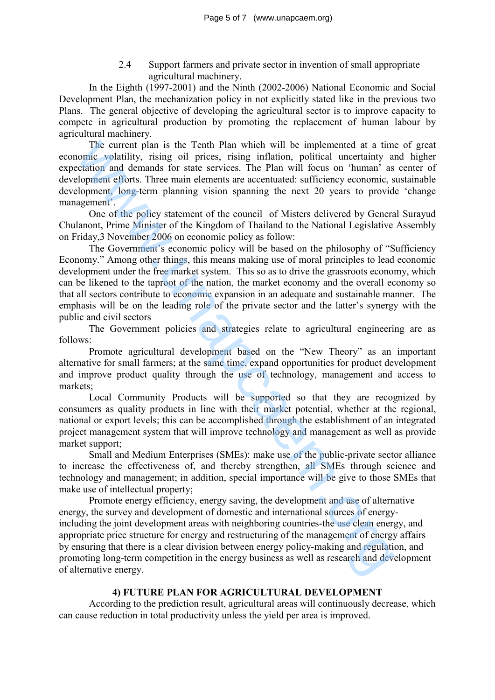2.4 Support farmers and private sector in invention of small appropriate agricultural machinery.

In the Eighth (1997-2001) and the Ninth (2002-2006) National Economic and Social Development Plan, the mechanization policy in not explicitly stated like in the previous two Plans. The general objective of developing the agricultural sector is to improve capacity to compete in agricultural production by promoting the replacement of human labour by agricultural machinery.

The current plan is the Tenth Plan which will be implemented at a time of great economic volatility, rising oil prices, rising inflation, political uncertainty and higher expectation and demands for state services. The Plan will focus on 'human' as center of development efforts. Three main elements are accentuated: sufficiency economic, sustainable development, long-term planning vision spanning the next 20 years to provide 'change management'.

One of the policy statement of the council of Misters delivered by General Surayud Chulanont, Prime Minister of the Kingdom of Thailand to the National Legislative Assembly on Friday,3 November 2006 on economic policy as follow:

 The Government's economic policy will be based on the philosophy of "Sufficiency Economy." Among other things, this means making use of moral principles to lead economic development under the free market system. This so as to drive the grassroots economy, which can be likened to the taproot of the nation, the market economy and the overall economy so that all sectors contribute to economic expansion in an adequate and sustainable manner. The emphasis will be on the leading role of the private sector and the latter's synergy with the public and civil sectors The current plane is the Tenth Plan which will be implemented at a time<br>comme wolatility, rising oil prices, rising inflation, political uncertainty are<br>action and demands for state services. The Plan will focus on 'human

 The Government policies and strategies relate to agricultural engineering are as follows:

Promote agricultural development based on the "New Theory" as an important alternative for small farmers; at the same time, expand opportunities for product development and improve product quality through the use of technology, management and access to markets;

 Local Community Products will be supported so that they are recognized by consumers as quality products in line with their market potential, whether at the regional, national or export levels; this can be accomplished through the establishment of an integrated project management system that will improve technology and management as well as provide market support;

 Small and Medium Enterprises (SMEs): make use of the public-private sector alliance to increase the effectiveness of, and thereby strengthen, all SMEs through science and technology and management; in addition, special importance will be give to those SMEs that make use of intellectual property;

 Promote energy efficiency, energy saving, the development and use of alternative energy, the survey and development of domestic and international sources of energyincluding the joint development areas with neighboring countries-the use clean energy, and appropriate price structure for energy and restructuring of the management of energy affairs by ensuring that there is a clear division between energy policy-making and regulation, and promoting long-term competition in the energy business as well as research and development of alternative energy.

# **4) FUTURE PLAN FOR AGRICULTURAL DEVELOPMENT**

 According to the prediction result, agricultural areas will continuously decrease, which can cause reduction in total productivity unless the yield per area is improved.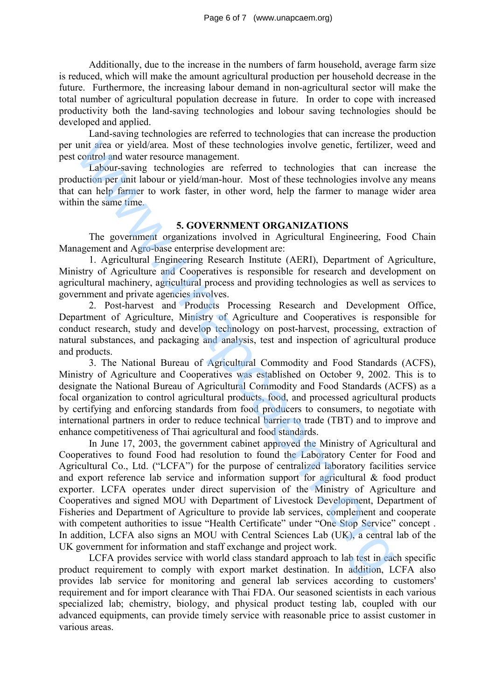Additionally, due to the increase in the numbers of farm household, average farm size is reduced, which will make the amount agricultural production per household decrease in the future. Furthermore, the increasing labour demand in non-agricultural sector will make the total number of agricultural population decrease in future. In order to cope with increased productivity both the land-saving technologies and lobour saving technologies should be developed and applied.

 Land-saving technologies are referred to technologies that can increase the production per unit area or yield/area. Most of these technologies involve genetic, fertilizer, weed and pest control and water resource management.

Labour-saving technologies are referred to technologies that can increase the production per unit labour or yield/man-hour. Most of these technologies involve any means that can help farmer to work faster, in other word, help the farmer to manage wider area within the same time.

# **5. GOVERNMENT ORGANIZATIONS**

The government organizations involved in Agricultural Engineering, Food Chain Management and Agro-base enterprise development are:

1. Agricultural Engineering Research Institute (AERI), Department of Agriculture, Ministry of Agriculture and Cooperatives is responsible for research and development on agricultural machinery, agricultural process and providing technologies as well as services to government and private agencies involves.

2. Post-harvest and Products Processing Research and Development Office, Department of Agriculture, Ministry of Agriculture and Cooperatives is responsible for conduct research, study and develop technology on post-harvest, processing, extraction of natural substances, and packaging and analysis, test and inspection of agricultural produce and products.

3. The National Bureau of Agricultural Commodity and Food Standards (ACFS), Ministry of Agriculture and Cooperatives was established on October 9, 2002. This is to designate the National Bureau of Agricultural Commodity and Food Standards (ACFS) as a focal organization to control agricultural products, food, and processed agricultural products by certifying and enforcing standards from food producers to consumers, to negotiate with international partners in order to reduce technical barrier to trade (TBT) and to improve and enhance competitiveness of Thai agricultural and food standards.

In June 17, 2003, the government cabinet approved the Ministry of Agricultural and Cooperatives to found Food had resolution to found the Laboratory Center for Food and Agricultural Co., Ltd. ("LCFA") for the purpose of centralized laboratory facilities service and export reference lab service and information support for agricultural & food product exporter. LCFA operates under direct supervision of the Ministry of Agriculture and Cooperatives and signed MOU with Department of Livestock Development, Department of Fisheries and Department of Agriculture to provide lab services, complement and cooperate with competent authorities to issue "Health Certificate" under "One Stop Service" concept. In addition, LCFA also signs an MOU with Central Sciences Lab (UK), a central lab of the UK government for information and staff exchange and project work. unit area or yield/area. Most of these technologies involve genetic, fertilizer,<br>correct and water resource management.<br>Labour-saving technologies are referred to technologies that can ince<br>ture for two different covers ar

LCFA provides service with world class standard approach to lab test in each specific product requirement to comply with export market destination. In addition, LCFA also provides lab service for monitoring and general lab services according to customers' requirement and for import clearance with Thai FDA. Our seasoned scientists in each various specialized lab; chemistry, biology, and physical product testing lab, coupled with our advanced equipments, can provide timely service with reasonable price to assist customer in various areas.